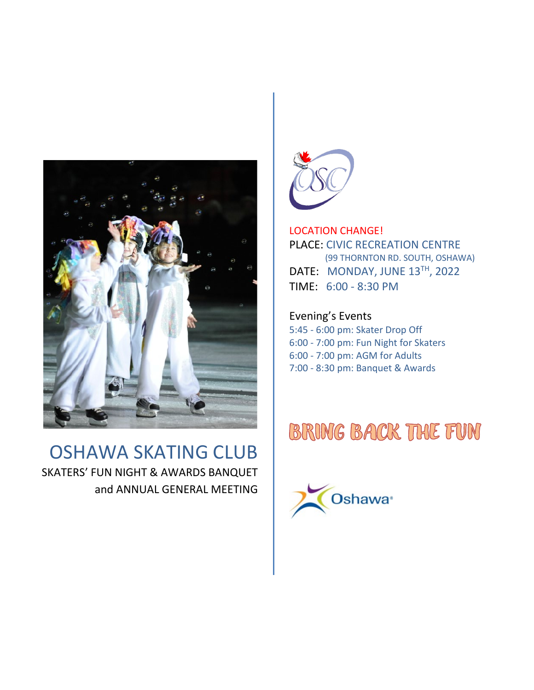

## OSHAWA SKATING CLUB SKATERS' FUN NIGHT & AWARDS BANQUET and ANNUAL GENERAL MEETING



LOCATION CHANGE! PLACE: CIVIC RECREATION CENTRE (99 THORNTON RD. SOUTH, OSHAWA) DATE: MONDAY, JUNE 13TH, 2022 TIME: 6:00 - 8:30 PM

Evening's Events 5:45 - 6:00 pm: Skater Drop Off 6:00 - 7:00 pm: Fun Night for Skaters 6:00 - 7:00 pm: AGM for Adults 7:00 - 8:30 pm: Banquet & Awards

# **BRING BACK THE FUN**

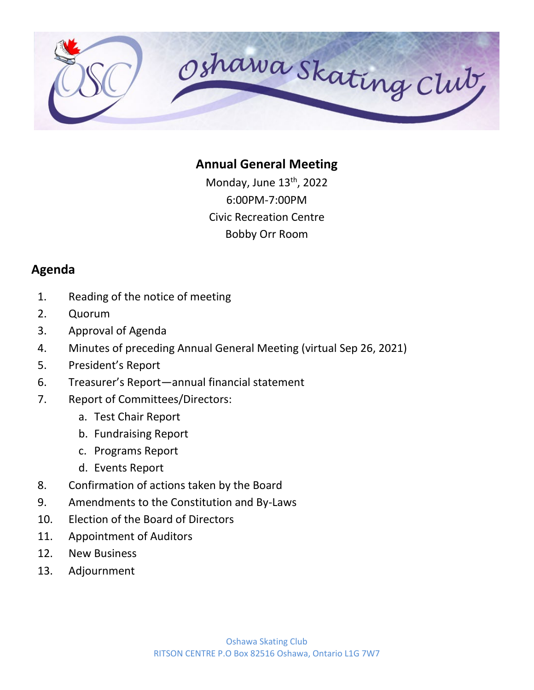

#### **Annual General Meeting**

Monday, June 13<sup>th</sup>, 2022 6:00PM-7:00PM Civic Recreation Centre Bobby Orr Room

#### **Agenda**

- 1. Reading of the notice of meeting
- 2. Quorum
- 3. Approval of Agenda
- 4. Minutes of preceding Annual General Meeting (virtual Sep 26, 2021)
- 5. President's Report
- 6. Treasurer's Report—annual financial statement
- 7. Report of Committees/Directors:
	- a. Test Chair Report
	- b. Fundraising Report
	- c. Programs Report
	- d. Events Report
- 8. Confirmation of actions taken by the Board
- 9. Amendments to the Constitution and By-Laws
- 10. Election of the Board of Directors
- 11. Appointment of Auditors
- 12. New Business
- 13. Adjournment